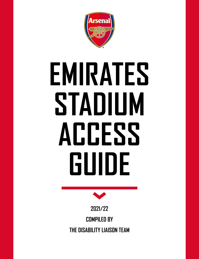

# **EMIRATES STADIUM ACCESS GUIDE**



**2021/22 COMPILED BY THE DISABILITY LIAISON TEAM**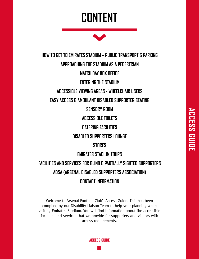# **CONTENT**



**HOW TO GET TO EMIRATES STADIUM – PUBLIC TRANSPORT & PARKING APPROACHING THE STADIUM AS A PEDESTRIAN MATCH DAY BOX OFFICE ENTERING THE STADIUM ACCESSIBLE VIEWING AREAS - WHEELCHAIR USERS EASY ACCESS & AMBULANT DISABLED SUPPORTER SEATING SENSORY ROOM ACCESSIBLE TOILETS CATERING FACILITIES DISABLED SUPPORTERS LOUNGE STORES EMIRATES STADIUM TOURS FACILITIES AND SERVICES FOR BLIND & PARTIALLY SIGHTED SUPPORTERS ADSA (ARSENAL DISABLED SUPPORTERS ASSOCIATION) CONTACT INFORMATION**

Welcome to Arsenal Football Club's Access Guide. This has been compiled by our Disability Liaison Team to help your planning when visiting Emirates Stadium. You will find information about the accessible facilities and services that we provide for supporters and visitors with access requirements.

**ACCESS GUIDE**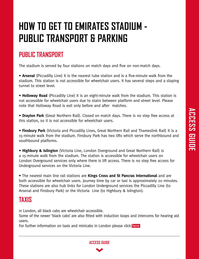# **HOW TO GET TO EMIRATES STADIUM - PUBLIC TRANSPORT & PARKING**

## **PUBLIC TRANSPORT**

The stadium is served by four stations on match days and five on non-match days.

• **Arsenal** (Piccadilly Line) It is the nearest tube station and is a five-minute walk from the stadium. This station is not accessible for wheelchair users. It has several steps and a sloping tunnel to street level.

• **Holloway Road** (Piccadilly Line) It is an eight-minute walk from the stadium. This station is not accessible for wheelchair users due to stairs between platform and street level. Please note that Holloway Road is exit only before and after matches.

• **Drayton Park** (Great Northern Rail). Closed on match days. There is no step free access at this station, so it is not accessible for wheelchair users.

• **Finsbury Park** (Victoria and Piccadilly Lines, Great Northern Rail and Thameslink Rail) It is a 15-minute walk from the stadium. Finsbury Park has two lifts which serve the northbound and southbound platforms.

• **Highbury & Islington** (Victoria Line, London Overground and Great Northern Rail) is a 15-minute walk from the stadium. The station is accessible for wheelchair users on London Overground services only where there is lift access. There is no step free access for Underground services on the Victoria Line.

• The nearest main line rail stations are **Kings Cross and St Pancras International** and are both accessible for wheelchair users. Journey time by car or taxi is approximately 20 minutes. These stations are also hub links for London Underground services the Piccadilly Line (to Arsenal and Finsbury Park) or the Victoria Line (to Highbury & Islington).

## **TAXIS**

In London, all black cabs are wheelchair accessible.

Some of the newer 'black cabs' are also fitted with induction loops and intercoms for hearing aid users.

For further information on taxis and minicabs in London please click [here](https://tfl.gov.uk/modes/taxis-and-minicabs/book-a-taxi)

**ACCESS GUIDE**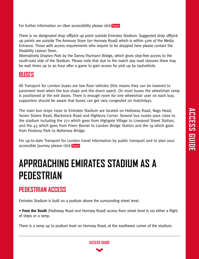For further information on Uber accessibility please click [here](https://www.uber.com/gb/en/ride/uberwav/)

There is no designated drop off/pick up point outside Emirates Stadium. Suggested drop off/pick up points are outside The Armoury Store (on Hornsey Road) which is within 50m of the Media Entrance. Those with access requirements who require to be dropped here please contact the Disability Liaison Team.

Alternatively Drayton Park by the Danny Fiszmann Bridge, which gives step-free access to the south-east side of the Stadium. Please note that due to the match day road closures there may be wait times up to an hour after a game to gain access for pick up by taxi/vehicle.

#### **BUSES**

All Transport for London buses are low floor vehicles (this means they can be lowered to pavement level when the bus stops and the doors open). On most buses the wheelchair ramp is positioned at the exit doors. There is enough room for one wheelchair user on each bus; supporters should be aware that buses can get very congested on matchdays.

The main bus stops close to Emirates Stadium are located on Holloway Road, Nags Head, Seven Sisters Road, Blackstock Road and Highbury Corner. Several bus routes pass close to the stadium including the 271 which goes from Highgate Village to Liverpool Street Station, and the 43 which goes from Friern Barnet to London Bridge Station and the 19 which goes from Finsbury Park to Battersea Bridge.

For up-to-date Transport for London travel information by public transport and to plan your accessible journey please click [here](https://tfl.gov.uk/transport-accessibility/)

# **APPROACHING EMIRATES STADIUM AS A PEDESTRIAN**

## **PEDESTRIAN ACCESS**

Emirates Stadium is built on a podium above the surrounding street level.

• **From the South** (Holloway Road and Hornsey Road) access from street level is via either a flight of steps or a ramp.

There is a ramp up to podium level on Hornsey Road, at the southwest corner of the stadium.

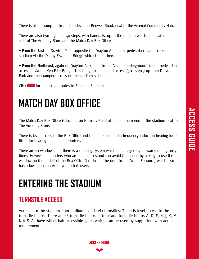There is also a ramp up to podium level on Benwell Road, next to the Arsenal Community Hub.

There are also two flights of 40 steps, with handrails, up to the podium which are located either side of The Armoury Store and the Match Day Box Office

• **From the East** on Drayton Park, opposite the Drayton Arms pub, pedestrians can access the stadium via the Danny Fiszmann Bridge which is step free.

• **From the Northeast**, again on Drayton Park, near to the Arsenal underground station pedestrian access is via the Ken Friar Bridge. This bridge has stepped access (50+ steps) up from Drayton Park and then ramped access on the stadium side.

Click [here](https://www.arsenal.com/sites/default/files/documents/gun__1215433607_emirates_pedestrians.pdf) for pedestrian routes to Emirates Stadium

## **MATCH DAY BOX OFFICE**

The Match Day Box Office is located on Hornsey Road at the southern end of the stadium next to The Armoury Store.

There is level access to the Box Office and there are also audio frequency induction hearing loops fitted for hearing impaired supporters.

There are 10 windows and there is a queuing system which is managed by stewards during busy times. However, supporters who are unable to stand can avoid the queue by asking to use the window on the far left of the Box Office (just inside the door to the Media Entrance) which also has a lowered counter for wheelchair users.

## **ENTERING THE STADIUM**

## **TURNSTILE ACCESS**

Access into the stadium from podium level is via turnstiles. There is level access to the turnstile blocks. There are 16 turnstile blocks in total and turnstile blocks A, D, E, H, J, K, M, N & S. All have wheelchair accessible gates which can be used by supporters with access requirements.

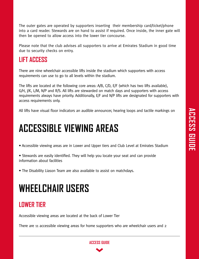The outer gates are operated by supporters inserting their membership card/ticket/phone into a card reader. Stewards are on hand to assist if required. Once inside, the inner gate will then be opened to allow access into the lower tier concourse.

Please note that the club advises all supporters to arrive at Emirates Stadium in good time due to security checks on entry.

## **LIFT ACCESS**

There are nine wheelchair accessible lifts inside the stadium which supporters with access requirements can use to go to all levels within the stadium.

The lifts are located at the following core areas: A/B, C/D, E/F (which has two lifts available), G/H, J/K, L/M, N/P and R/S. All lifts are stewarded on match days and supporters with access requirements always have priority. Additionally, E/F and N/P lifts are designated for supporters with access requirements only.

All lifts have visual floor indicators an audible announcer, hearing loops and tactile markings on

# **ACCESSIBLE VIEWING AREAS**

• Accessible viewing areas are in Lower and Upper tiers and Club Level at Emirates Stadium

• Stewards are easily identified. They will help you locate your seat and can provide information about facilities

• The Disability Liason Team are also available to assist on matchdays.

# **WHEELCHAIR USERS**

## **LOWER TIER**

Accessible viewing areas are located at the back of Lower Tier

There are 11 accessible viewing areas for home supporters who are wheelchair users and 2

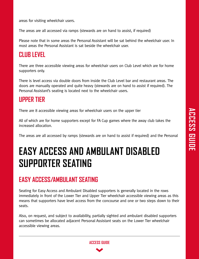areas for visiting wheelchair users.

The areas are all accessed via ramps (stewards are on hand to assist, if required)

Please note that in some areas the Personal Assistant will be sat behind the wheelchair user. In most areas the Personal Assistant is sat beside the wheelchair user.

## **CLUB LEVEL**

There are three accessible viewing areas for wheelchair users on Club Level which are for home supporters only.

There is level access via double doors from inside the Club Level bar and restaurant areas. The doors are manually operated and quite heavy (stewards are on hand to assist if required). The Personal Assistant's seating is located next to the wheelchair users.

#### **UPPER TIER**

There are 8 accessible viewing areas for wheelchair users on the upper tier

All of which are for home supporters except for FA Cup games where the away club takes the increased allocation.

The areas are all accessed by ramps (stewards are on hand to assist if required) and the Personal

# **EASY ACCESS AND AMBULANT DISABLED SUPPORTER SEATING**

## **EASY ACCESS/AMBULANT SEATING**

Seating for Easy Access and Ambulant Disabled supporters is generally located in the rows immediately in front of the Lower Tier and Upper Tier wheelchair accessible viewing areas as this means that supporters have level access from the concourse and one or two steps down to their seats.

Also, on request, and subject to availability, partially sighted and ambulant disabled supporters can sometimes be allocated adjacent Personal Assistant seats on the Lower Tier wheelchair accessible viewing areas.

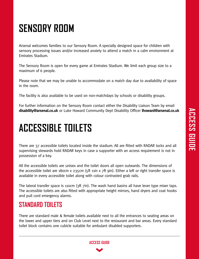# **SENSORY ROOM**

Arsenal welcomes families to our Sensory Room. A specially designed space for children with sensory processing issues and/or increased anxiety to attend a match in a calm environment at Emirates Stadium.

The Sensory Room is open for every game at Emirates Stadium. We limit each group size to a maximum of 6 people.

Please note that we may be unable to accommodate on a match day due to availability of space in the room.

The facility is also available to be used on non-matchdays by schools or disability groups.

For further information on the Sensory Room contact either the Disability Liaison Team by email **disability@arsenal.co.uk** or Luke Howard Community Dept Disability Officer **lhoward@arsenal.co.uk**

# **ACCESSIBLE TOILETS**

There are 37 accessible toilets located inside the stadium. All are fitted with RADAR locks and all supervising stewards hold RADAR keys in case a supporter with an access requirement is not in possession of a key.

All the accessible toilets are unisex and the toilet doors all open outwards. The dimensions of the accessible toilet are 180cm x 235cm (5ft 11in x 7ft 9in). Either a left or right transfer space is available in every accessible toilet along with colour contrasted grab rails.

The lateral transfer space is 110cm (3ft 7in). The wash hand basins all have lever type mixer taps. The accessible toilets are also fitted with appropriate height mirrors, hand dryers and coat hooks and pull cord emergency alarms.

## **STANDARD TOILETS**

There are standard male & female toilets available next to all the entrances to seating areas on the lower and upper tiers and on Club Level next to the restaurant and bar areas. Every standard toilet block contains one cubicle suitable for ambulant disabled supporters.

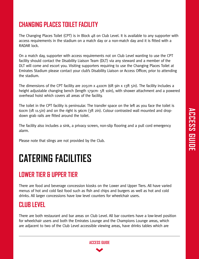## **CHANGING PLACES TOILET FACILITY**

The Changing Places Toilet (CPT) is in Block 48 on Club Level. It is available to any supporter with access requirements in the stadium on a match day or a non-match day and it is fitted with a RADAR lock.

On a match day, supporter with access requirements not on Club Level wanting to use the CPT facility should contact the Disability Liaison Team (DLT) via any steward and a member of the DLT will come and escort you. Visiting supporters requiring to use the Changing Places Toilet at Emirates Stadium please contact your club's Disability Liaison or Access Officer, prior to attending the stadium.

The dimensions of the CPT facility are 205cm x 410cm (6ft 9in x 13ft 5in). The facility includes a height adjustable changing bench (length 179cm- 5ft 10in), with shower attachment and a powered overhead hoist which covers all areas of the facility.

The toilet in the CPT facility is peninsular. The transfer space on the left as you face the toilet is 60cm (1ft 11.5in) and on the right is 96cm (3ft 2in). Colour contrasted wall mounted and dropdown grab rails are fitted around the toilet.

The facility also includes a sink, a privacy screen, non-slip flooring and a pull cord emergency alarm.

Please note that slings are not provided by the Club.

## **CATERING FACILITIES**

## **LOWER TIER & UPPER TIER**

There are food and beverage concession kiosks on the Lower and Upper Tiers. All have varied menus of hot and cold fast food such as fish and chips and burgers as well as hot and cold drinks. All larger concessions have low level counters for wheelchair users.

#### **CLUB LEVEL**

There are both restaurant and bar areas on Club Level. All bar counters have a low-level position for wheelchair users and both the Emirates Lounge and the Champions Lounge areas, which are adjacent to two of the Club Level accessible viewing areas, have drinks tables which are

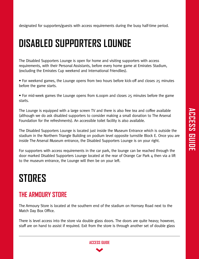designated for supporters/guests with access requirements during the busy half-time period.

## **DISABLED SUPPORTERS LOUNGE**

The Disabled Supporters Lounge is open for home and visiting supporters with access requirements, with their Personal Assistants, before every home game at Emirates Stadium, (excluding the Emirates Cup weekend and International Friendlies).

• For weekend games, the Lounge opens from two hours before kick-off and closes 25 minutes before the game starts.

• For mid-week games the Lounge opens from 6.00pm and closes 25 minutes before the game starts.

The Lounge is equipped with a large screen TV and there is also free tea and coffee available (although we do ask disabled supporters to consider making a small donation to The Arsenal Foundation for the refreshments). An accessible toilet facility is also available.

The Disabled Supporters Lounge is located just inside the Museum Entrance which is outside the stadium in the Northern Triangle Building on podium level opposite turnstile Block E. Once you are inside The Arsenal Museum entrance, the Disabled Supporters Lounge is on your right.

For supporters with access requirements in the car park, the lounge can be reached through the door marked Disabled Supporters Lounge located at the rear of Orange Car Park 4 then via a lift to the museum entrance, the Lounge will then be on your left.

# **STORES**

## **THE ARMOURY STORE**

The Armoury Store is located at the southern end of the stadium on Hornsey Road next to the Match Day Box Office.

There is level access into the store via double glass doors. The doors are quite heavy; however, staff are on hand to assist if required. Exit from the store is through another set of double glass

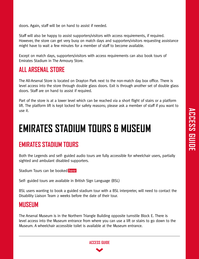doors. Again, staff will be on hand to assist if needed.

Staff will also be happy to assist supporters/visitors with access requirements, if required. However, the store can get very busy on match days and supporters/visitors requesting assistance might have to wait a few minutes for a member of staff to become available.

Except on match days, supporters/visitors with access requirements can also book tours of Emirates Stadium in The Armoury Store.

#### **ALL ARSENAL STORE**

The All-Arsenal Store is located on Drayton Park next to the non-match day box office. There is level access into the store through double glass doors. Exit is through another set of double glass doors. Staff are on hand to assist if required.

Part of the store is at a lower level which can be reached via a short flight of stairs or a platform lift. The platform lift is kept locked for safety reasons; please ask a member of staff if you want to use it.

# **EMIRATES STADIUM TOURS & MUSEUM**

#### **EMIRATES STADIUM TOURS**

Both the Legends and self- guided audio tours are fully accessible for wheelchair users, partially sighted and ambulant disabled supporters.

Stadium Tours can be booked [here](https://arsenaldirect.arsenal.com/tour/home/) 

Self- guided tours are available in British Sign Language (BSL)

BSL users wanting to book a guided stadium tour with a BSL interpreter, will need to contact the Disability Liaison Team 2 weeks before the date of their tour.

#### **MUSEUM**

The Arsenal Museum is in the Northern Triangle Building opposite turnstile Block E. There is level access into the Museum entrance from where you can use a lift or stairs to go down to the Museum. A wheelchair accessible toilet is available at the Museum entrance.

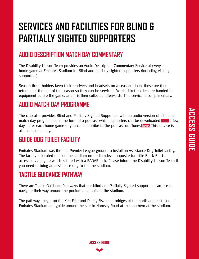# **SERVICES AND FACILITIES FOR BLIND & PARTIALLY SIGHTED SUPPORTERS**

## **AUDIO DESCRIPTION MATCH DAY COMMENTARY**

The Disability Liaison Team provides an Audio Description Commentary Service at every home game at Emirates Stadium for Blind and partially sighted supporters (including visiting supporters).

Season ticket holders keep their receivers and headsets on a seasonal loan, these are then returned at the end of the season so they can be serviced. Match ticket holders are handed the equipment before the game, and it is then collected afterwards. This service is complimentary.

## **AUDIO MATCH DAY PROGRAMME**

The club also provides Blind and Partially Sighted Supporters with an audio version of all home match day programmes in the form of a podcast which supporters can be downloaded [here](https://www.arsenal.com/news/audio-matchday-programmes) a few days after each home game or you can subscribe to the podcast on iTunes [here.](https://podcasts.apple.com/gb/podcast/the-arsenal-audio-matchday-programme/id1254451910?mt=2) This service is also complimentary.

## **GUIDE DOG TOILET FACILITY**

Emirates Stadium was the first Premier League ground to install an Assistance Dog Toilet facility. The facility is located outside the stadium on podium level opposite turnstile Block F. It is accessed via a gate which is fitted with a RADAR lock. Please inform the Disability Liaison Team if you need to bring an assistance dog to the the stadium.

## **TACTILE GUIDANCE PATHWAY**

There are Tactile Guidance Pathways that our blind and Partially Sighted supporters can use to navigate their way around the podium area outside the stadium.

The pathways begin on the Ken Friar and Danny Fiszmann bridges at the north and east side of Emirates Stadium and guide around the site to Hornsey Road at the southern at the stadium.